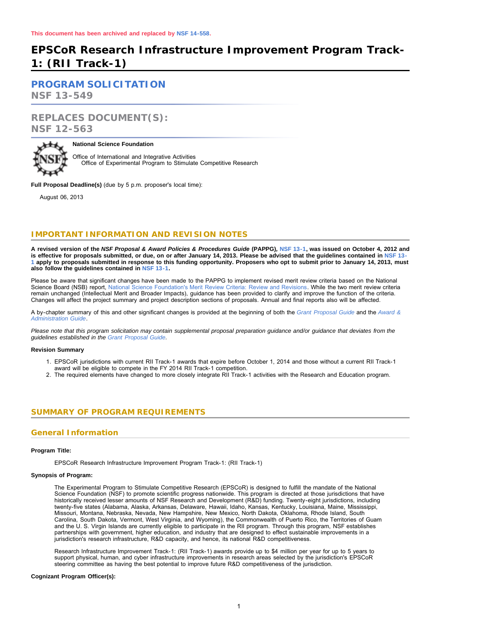# **EPSCoR Research Infrastructure Improvement Program Track-1: (RII Track-1)**

**[PROGRAM SOLICITATION](#page-2-0)**

**NSF 13-549**

# **REPLACES DOCUMENT(S): NSF 12-563**



### **National Science Foundation**

Office of International and Integrative Activities Office of Experimental Program to Stimulate Competitive Research

**Full Proposal Deadline(s)** (due by 5 p.m. proposer's local time):

August 06, 2013

# **IMPORTANT INFORMATION AND REVISION NOTES**

**A revised version of the** *NSF Proposal & Award Policies & Procedures Guide* **(PAPPG)***,* **[NSF 13-1,](http://www.nsf.gov/publications/pub_summ.jsp?ods_key=nsf13001) was issued on October 4, 2012 and is effective for proposals submitted, or due, on or after January 14, 2013. Please be advised that the guidelines contained in [NSF 13-](http://www.nsf.gov/publications/pub_summ.jsp?ods_key=nsf13001) [1](http://www.nsf.gov/publications/pub_summ.jsp?ods_key=nsf13001) apply to proposals submitted in response to this funding opportunity. Proposers who opt to submit prior to January 14, 2013, must also follow the guidelines contained in [NSF 13-1](http://www.nsf.gov/publications/pub_summ.jsp?ods_key=nsf13001).**

Please be aware that significant changes have been made to the PAPPG to implement revised merit review criteria based on the National Science Board (NSB) report, [National Science Foundation's Merit Review Criteria: Review and Revisions.](http://www.nsf.gov/nsb/publications/2011/meritreviewcriteria.pdf) While the two merit review criteria remain unchanged (Intellectual Merit and Broader Impacts), guidance has been provided to clarify and improve the function of the criteria. Changes will affect the project summary and project description sections of proposals. Annual and final reports also will be affected.

A by-chapter summary of this and other significant changes is provided at the beginning of both the *[Grant Proposal Guide](http://www.nsf.gov/pubs/policydocs/pappguide/nsf13001/gpg_sigchanges.jsp)* and the *[Award &](http://www.nsf.gov/pubs/policydocs/pappguide/nsf13001/aag_sigchanges.jsp) [Administration Guide](http://www.nsf.gov/pubs/policydocs/pappguide/nsf13001/aag_sigchanges.jsp)*.

*Please note that this program solicitation may contain supplemental proposal preparation guidance and/or guidance that deviates from the guidelines established in the [Grant Proposal Guide](http://www.nsf.gov/pubs/policydocs/pappguide/nsf13001/gpg_index.jsp).*

#### **Revision Summary**

- 1. EPSCoR jurisdictions with current RII Track-1 awards that expire before October 1, 2014 and those without a current RII Track-1 award will be eligible to compete in the FY 2014 RII Track-1 competition.
- 2. The required elements have changed to more closely integrate RII Track-1 activities with the Research and Education program.

# <span id="page-0-0"></span>**SUMMARY OF PROGRAM REQUIREMENTS**

# **General Information**

#### **Program Title:**

EPSCoR Research Infrastructure Improvement Program Track-1: (RII Track-1)

### **Synopsis of Program:**

The Experimental Program to Stimulate Competitive Research (EPSCoR) is designed to fulfill the mandate of the National Science Foundation (NSF) to promote scientific progress nationwide. This program is directed at those jurisdictions that have historically received lesser amounts of NSF Research and Development (R&D) funding. Twenty-eight jurisdictions, including twenty-five states (Alabama, Alaska, Arkansas, Delaware, Hawaii, Idaho, Kansas, Kentucky, Louisiana, Maine, Mississippi, Missouri, Montana, Nebraska, Nevada, New Hampshire, New Mexico, North Dakota, Oklahoma, Rhode Island, South Carolina, South Dakota, Vermont, West Virginia, and Wyoming), the Commonwealth of Puerto Rico, the Territories of Guam and the U. S. Virgin Islands are currently eligible to participate in the RII program. Through this program, NSF establishes partnerships with government, higher education, and industry that are designed to effect sustainable improvements in a jurisdiction's research infrastructure, R&D capacity, and hence, its national R&D competitiveness.

Research Infrastructure Improvement Track-1: (RII Track-1) awards provide up to \$4 million per year for up to 5 years to support physical, human, and cyber infrastructure improvements in research areas selected by the jurisdiction's EPSCoR steering committee as having the best potential to improve future R&D competitiveness of the jurisdiction.

#### **Cognizant Program Officer(s):**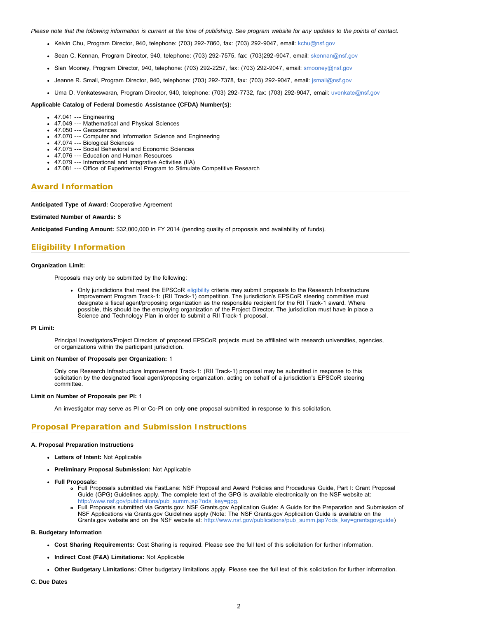*Please note that the following information is current at the time of publishing. See program website for any updates to the points of contact.*

- Kelvin Chu, Program Director, 940, telephone: (703) 292-7860, fax: (703) 292-9047, email: [kchu@nsf.gov](mailto:kchu@nsf.gov)
- Sean C. Kennan, Program Director, 940, telephone: (703) 292-7575, fax: (703)292-9047, email: [skennan@nsf.gov](mailto:skennan@nsf.gov)
- Sian Mooney, Program Director, 940, telephone: (703) 292-2257, fax: (703) 292-9047, email: [smooney@nsf.gov](mailto:smooney@nsf.gov)
- Jeanne R. Small, Program Director, 940, telephone: (703) 292-7378, fax: (703) 292-9047, email: [jsmall@nsf.gov](mailto:jsmall@nsf.gov)
- Uma D. Venkateswaran, Program Director, 940, telephone: (703) 292-7732, fax: (703) 292-9047, email: [uvenkate@nsf.gov](mailto:uvenkate@nsf.gov)

#### **Applicable Catalog of Federal Domestic Assistance (CFDA) Number(s):**

- 47.041 --- Engineering
- 47.049 --- Mathematical and Physical Sciences
- 47.050 --- Geosciences
- 47.070 --- Computer and Information Science and Engineering
- 47.074 --- Biological Sciences
- 47.075 --- Social Behavioral and Economic Sciences 47.076 --- Education and Human Resources
- 47.079 --- International and Integrative Activities (IIA)
- 47.081 --- Office of Experimental Program to Stimulate Competitive Research

#### **Award Information**

**Anticipated Type of Award:** Cooperative Agreement

#### **Estimated Number of Awards:** 8

**Anticipated Funding Amount:** \$32,000,000 in FY 2014 (pending quality of proposals and availability of funds).

### **Eligibility Information**

#### **Organization Limit:**

Proposals may only be submitted by the following:

Only jurisdictions that meet the EPSCoR [eligibility](http://www.nsf.gov/od/iia/programs/epscor/Eligibility_Tables/FY2013_Eligibility.pdf) criteria may submit proposals to the Research Infrastructure Improvement Program Track-1: (RII Track-1) competition. The jurisdiction's EPSCoR steering committee must designate a fiscal agent/proposing organization as the responsible recipient for the RII Track-1 award. Where possible, this should be the employing organization of the Project Director. The jurisdiction must have in place a Science and Technology Plan in order to submit a RII Track-1 proposal.

#### **PI Limit:**

Principal Investigators/Project Directors of proposed EPSCoR projects must be affiliated with research universities, agencies, or organizations within the participant jurisdiction.

#### **Limit on Number of Proposals per Organization:** 1

Only one Research Infrastructure Improvement Track-1: (RII Track-1) proposal may be submitted in response to this solicitation by the designated fiscal agent/proposing organization, acting on behalf of a jurisdiction's EPSCoR steering committee.

#### **Limit on Number of Proposals per PI:** 1

An investigator may serve as PI or Co-PI on only **one** proposal submitted in response to this solicitation.

#### **Proposal Preparation and Submission Instructions**

#### **A. Proposal Preparation Instructions**

- **Letters of Intent:** Not Applicable
- **Preliminary Proposal Submission:** Not Applicable
- **Full Proposals:**
	- Full Proposals submitted via FastLane: NSF Proposal and Award Policies and Procedures Guide, Part I: Grant Proposal Guide (GPG) Guidelines apply. The complete text of the GPG is available electronically on the NSF website at: [http://www.nsf.gov/publications/pub\\_summ.jsp?ods\\_key=gpg.](http://www.nsf.gov/publications/pub_summ.jsp?ods_key=gpg)
	- Full Proposals submitted via Grants.gov: NSF Grants.gov Application Guide: A Guide for the Preparation and Submission of NSF Applications via Grants.gov Guidelines apply (Note: The NSF Grants.gov Application Guide is available on the Grants.gov website and on the NSF website at: [http://www.nsf.gov/publications/pub\\_summ.jsp?ods\\_key=grantsgovguide\)](http://www.nsf.gov/publications/pub_summ.jsp?ods_key=grantsgovguide)

#### **B. Budgetary Information**

- **Cost Sharing Requirements:** Cost Sharing is required. Please see the full text of this solicitation for further information.
- **Indirect Cost (F&A) Limitations:** Not Applicable
- **Other Budgetary Limitations:** Other budgetary limitations apply. Please see the full text of this solicitation for further information.

**C. Due Dates**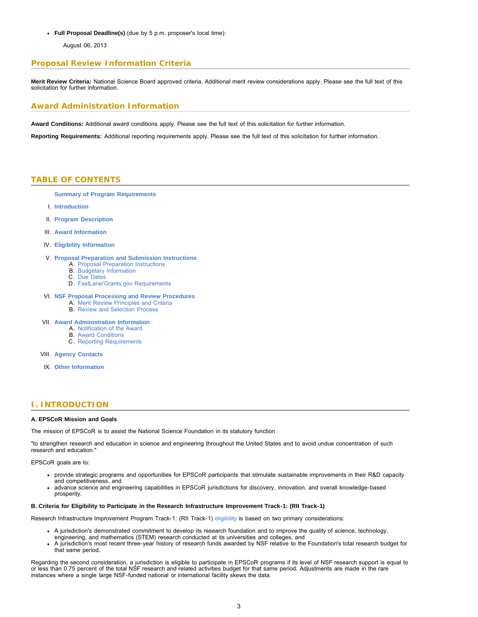**Full Proposal Deadline(s)** (due by 5 p.m. proposer's local time):

August 06, 2013

# **Proposal Review Information Criteria**

**Merit Review Criteria:** National Science Board approved criteria. Additional merit review considerations apply. Please see the full text of this solicitation for further information.

# **Award Administration Information**

**Award Conditions:** Additional award conditions apply. Please see the full text of this solicitation for further information.

<span id="page-2-0"></span>**Reporting Requirements:** Additional reporting requirements apply. Please see the full text of this solicitation for further information.

### **TABLE OF CONTENTS**

### **[Summary of Program Requirements](#page-0-0)**

- I. **[Introduction](#page-2-1)**
- II. **[Program Description](#page-3-0)**
- III. **[Award Information](#page-4-0)**
- IV. **[Eligibility Information](#page-4-1)**

### V. **[Proposal Preparation and Submission Instructions](#page-5-0)**

- A. [Proposal Preparation Instructions](#page-5-0)
- B. [Budgetary Information](#page-8-0)
- C. [Due Dates](#page-9-0)
- D. [FastLane/Grants.gov Requirements](#page-9-1)

### VI. **[NSF Proposal Processing and Review Procedures](#page-9-2)**

- A. [Merit Review Principles and Criteria](#page-10-0)
- B. [Review and Selection Process](#page-11-0)

#### VII. **[Award Administration Information](#page-12-0)**

- A. [Notification of the Award](#page-12-1)
	- B. [Award Conditions](#page-12-2) C. [Reporting Requirements](#page-12-3)
	-
- VIII. **[Agency Contacts](#page-12-4)**
- IX. **[Other Information](#page-13-0)**

# <span id="page-2-1"></span>**I. INTRODUCTION**

#### **A. EPSCoR Mission and Goals**

The mission of EPSCoR is to assist the National Science Foundation in its statutory function

"to strengthen research and education in science and engineering throughout the United States and to avoid undue concentration of such research and education."

EPSCoR goals are to:

- provide strategic programs and opportunities for EPSCoR participants that stimulate sustainable improvements in their R&D capacity and competitiveness, and
- advance science and engineering capabilities in EPSCoR jurisdictions for discovery, innovation, and overall knowledge-based prosperity.

#### **B. Criteria for Eligibility to Participate in the Research Infrastructure Improvement Track-1: (RII Track-1)**

Research Infrastructure Improvement Program Track-1: (RII Track-1) [eligibility](http://www.nsf.gov/od/iia/programs/epscor/Eligibility_Tables/FY2013_Eligibility.pdf) is based on two primary considerations:

- A jurisdiction's demonstrated commitment to develop its research foundation and to improve the quality of science, technology, engineering, and mathematics (STEM) research conducted at its universities and colleges, and
- A jurisdiction's most recent three-year history of research funds awarded by NSF relative to the Foundation's total research budget for that same period.

Regarding the second consideration, a jurisdiction is eligible to participate in EPSCoR programs if its level of NSF research support is equal to or less than 0.75 percent of the total NSF research and related activities budget for that same period. Adjustments are made in the rare instances where a single large NSF-funded national or international facility skews the data.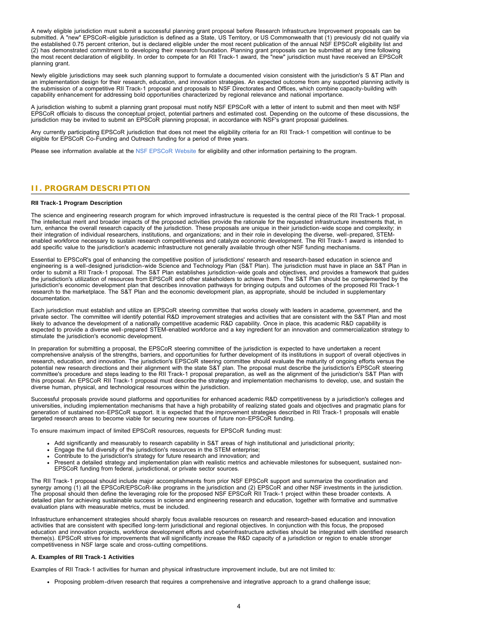A newly eligible jurisdiction must submit a successful planning grant proposal before Research Infrastructure Improvement proposals can be submitted. A "new" EPSCoR-eligible jurisdiction is defined as a State, US Territory, or US Commonwealth that (1) previously did not qualify via the established 0.75 percent criterion, but is declared eligible under the most recent publication of the annual NSF EPSCoR eligibility list and (2) has demonstrated commitment to developing their research foundation. Planning grant proposals can be submitted at any time following the most recent declaration of eligibility. In order to compete for an RII Track-1 award, the "new" jurisdiction must have received an EPSCoR planning grant.

Newly eligible jurisdictions may seek such planning support to formulate a documented vision consistent with the jurisdiction's S &T Plan and an implementation design for their research, education, and innovation strategies. An expected outcome from any supported planning activity is the submission of a competitive RII Track-1 proposal and proposals to NSF Directorates and Offices, which combine capacity-building with capability enhancement for addressing bold opportunities characterized by regional relevance and national importance.

A jurisdiction wishing to submit a planning grant proposal must notify NSF EPSCoR with a letter of intent to submit and then meet with NSF EPSCoR officials to discuss the conceptual project, potential partners and estimated cost. Depending on the outcome of these discussions, the jurisdiction may be invited to submit an EPSCoR planning proposal, in accordance with NSF's grant proposal guidelines.

Any currently participating EPSCoR jurisdiction that does not meet the eligibility criteria for an RII Track-1 competition will continue to be eligible for EPSCoR Co-Funding and Outreach funding for a period of three years.

Please see information available at the [NSF EPSCoR Website](http://www.nsf.gov/div/index.jsp?div=EPSC) for eligibility and other information pertaining to the program.

# <span id="page-3-0"></span>**II. PROGRAM DESCRIPTION**

#### **RII Track-1 Program Description**

The science and engineering research program for which improved infrastructure is requested is the central piece of the RII Track-1 proposal. The intellectual merit and broader impacts of the proposed activities provide the rationale for the requested infrastructure investments that, in turn, enhance the overall research capacity of the jurisdiction. These proposals are unique in their jurisdiction-wide scope and complexity; in their integration of individual researchers, institutions, and organizations; and in their role in developing the diverse, well-prepared, STEMenabled workforce necessary to sustain research competitiveness and catalyze economic development. The RII Track-1 award is intended to add specific value to the jurisdiction's academic infrastructure not generally available through other NSF funding mechanisms.

Essential to EPSCoR's goal of enhancing the competitive position of jurisdictions' research and research-based education in science and engineering is a well-designed jurisdiction-wide Science and Technology Plan (S&T Plan). The jurisdiction must have in place an S&T Plan in order to submit a RII Track-1 proposal. The S&T Plan establishes jurisdiction-wide goals and objectives, and provides a framework that guides the jurisdiction's utilization of resources from EPSCoR and other stakeholders to achieve them. The S&T Plan should be complemented by the jurisdiction's economic development plan that describes innovation pathways for bringing outputs and outcomes of the proposed RII Track-1 research to the marketplace. The S&T Plan and the economic development plan, as appropriate, should be included in supplementary documentation.

Each jurisdiction must establish and utilize an EPSCoR steering committee that works closely with leaders in academe, government, and the private sector. The committee will identify potential R&D improvement strategies and activities that are consistent with the S&T Plan and most likely to advance the development of a nationally competitive academic R&D capability. Once in place, this academic R&D capability is expected to provide a diverse well-prepared STEM-enabled workforce and a key ingredient for an innovation and commercialization strategy to stimulate the jurisdiction's economic development.

In preparation for submitting a proposal, the EPSCoR steering committee of the jurisdiction is expected to have undertaken a recent comprehensive analysis of the strengths, barriers, and opportunities for further development of its institutions in support of overall objectives in research, education, and innovation. The jurisdiction's EPSCoR steering committee should evaluate the maturity of ongoing efforts versus the potential new research directions and their alignment with the state S&T plan. The proposal must describe the jurisdiction's EPSCoR steering committee's procedure and steps leading to the RII Track-1 proposal preparation, as well as the alignment of the jurisdiction's S&T Plan with this proposal. An EPSCoR RII Track-1 proposal must describe the strategy and implementation mechanisms to develop, use, and sustain the diverse human, physical, and technological resources within the jurisdiction.

Successful proposals provide sound platforms and opportunities for enhanced academic R&D competitiveness by a jurisdiction's colleges and universities, including implementation mechanisms that have a high probability of realizing stated goals and objectives and pragmatic plans for generation of sustained non-EPSCoR support. It is expected that the improvement strategies described in RII Track-1 proposals will enable targeted research areas to become viable for securing new sources of future non-EPSCoR funding.

To ensure maximum impact of limited EPSCoR resources, requests for EPSCoR funding must:

- Add significantly and measurably to research capability in S&T areas of high institutional and jurisdictional priority;
- Engage the full diversity of the jurisdiction's resources in the STEM enterprise;
- Contribute to the jurisdiction's strategy for future research and innovation; and
- Present a detailed strategy and implementation plan with realistic metrics and achievable milestones for subsequent, sustained non-EPSCoR funding from federal, jurisdictional, or private sector sources.

The RII Track-1 proposal should include major accomplishments from prior NSF EPSCoR support and summarize the coordination and synergy among (1) all the EPSCoR/EPSCoR-like programs in the jurisdiction and (2) EPSCoR and other NSF investments in the jurisdiction. The proposal should then define the leveraging role for the proposed NSF EPSCoR RII Track-1 project within these broader contexts. A detailed plan for achieving sustainable success in science and engineering research and education, together with formative and summative evaluation plans with measurable metrics, must be included.

Infrastructure enhancement strategies should sharply focus available resources on research and research-based education and innovation activities that are consistent with specified long-term jurisdictional and regional objectives. In conjunction with this focus, the proposed education and innovation projects, workforce development efforts and cyberinfrastructure activities should be integrated with identified research theme(s). EPSCoR strives for improvements that will significantly increase the R&D capacity of a jurisdiction or region to enable stronger competitiveness in NSF large scale and cross-cutting competitions.

#### **A. Examples of RII Track-1 Activities**

Examples of RII Track-1 activities for human and physical infrastructure improvement include, but are not limited to:

Proposing problem-driven research that requires a comprehensive and integrative approach to a grand challenge issue;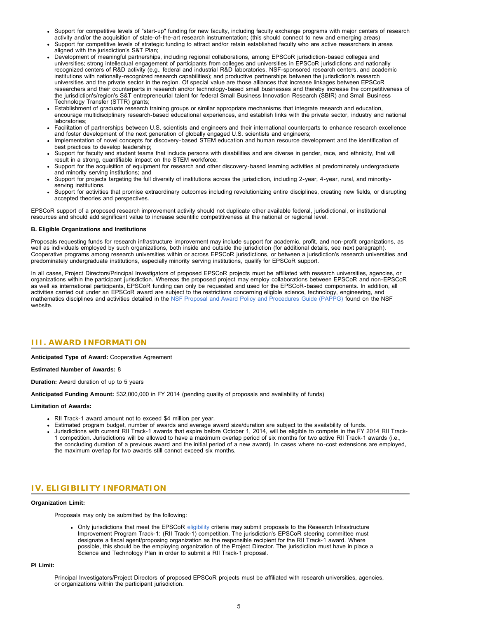- Support for competitive levels of "start-up" funding for new faculty, including faculty exchange programs with major centers of research activity and/or the acquisition of state-of-the-art research instrumentation; (this should connect to new and emerging areas)
- Support for competitive levels of strategic funding to attract and/or retain established faculty who are active researchers in areas aligned with the jurisdiction's S&T Plan;
- Development of meaningful partnerships, including regional collaborations, among EPSCoR jurisdiction-based colleges and universities; strong intellectual engagement of participants from colleges and universities in EPSCoR jurisdictions and nationally recognized centers of R&D activity (e.g., federal and industrial R&D laboratories, NSF-sponsored research centers, and academic institutions with nationally-recognized research capabilities); and productive partnerships between the jurisdiction's research universities and the private sector in the region. Of special value are those alliances that increase linkages between EPSCoR researchers and their counterparts in research and/or technology-based small businesses and thereby increase the competitiveness of the jurisdiction's/region's S&T entrepreneurial talent for federal Small Business Innovation Research (SBIR) and Small Business Technology Transfer (STTR) grants;
- Establishment of graduate research training groups or similar appropriate mechanisms that integrate research and education, encourage multidisciplinary research-based educational experiences, and establish links with the private sector, industry and national laboratories;
- Facilitation of partnerships between U.S. scientists and engineers and their international counterparts to enhance research excellence and foster development of the next generation of globally engaged U.S. scientists and engineers;
- Implementation of novel concepts for discovery-based STEM education and human resource development and the identification of best practices to develop leadership;
- Support for faculty and student teams that include persons with disabilities and are diverse in gender, race, and ethnicity, that will result in a strong, quantifiable impact on the STEM workforce;
- Support for the acquisition of equipment for research and other discovery-based learning activities at predominately undergraduate and minority serving institutions; and
- Support for projects targeting the full diversity of institutions across the jurisdiction, including 2-year, 4-year, rural, and minorityserving institutions.
- Support for activities that promise extraordinary outcomes including revolutionizing entire disciplines, creating new fields, or disrupting accepted theories and perspectives.

EPSCoR support of a proposed research improvement activity should not duplicate other available federal, jurisdictional, or institutional resources and should add significant value to increase scientific competitiveness at the national or regional level.

#### **B. Eligible Organizations and Institutions**

Proposals requesting funds for research infrastructure improvement may include support for academic, profit, and non-profit organizations, as well as individuals employed by such organizations, both inside and outside the jurisdiction (for additional details, see next paragraph). Cooperative programs among research universities within or across EPSCoR jurisdictions, or between a jurisdiction's research universities and predominately undergraduate institutions, especially minority serving institutions, qualify for EPSCoR support.

In all cases, Project Directors/Principal Investigators of proposed EPSCoR projects must be affiliated with research universities, agencies, or organizations within the participant jurisdiction. Whereas the proposed project may employ collaborations between EPSCoR and non-EPSCoR as well as international participants, EPSCoR funding can only be requested and used for the EPSCoR-based components. In addition, all activities carried out under an EPSCoR award are subject to the restrictions concerning eligible science, technology, engineering, and mathematics disciplines and activities detailed in the [NSF Proposal and Award Policy and Procedures Guide \(PAPPG\)](http://www.nsf.gov/publications/pub_summ.jsp?ods_key=papp) found on the NSF website.

# <span id="page-4-0"></span>**III. AWARD INFORMATION**

**Anticipated Type of Award:** Cooperative Agreement

#### **Estimated Number of Awards:** 8

**Duration:** Award duration of up to 5 years

**Anticipated Funding Amount:** \$32,000,000 in FY 2014 (pending quality of proposals and availability of funds)

#### **Limitation of Awards:**

- RII Track-1 award amount not to exceed \$4 million per year.
- Estimated program budget, number of awards and average award size/duration are subject to the availability of funds.
- Jurisdictions with current RII Track-1 awards that expire before October 1, 2014, will be eligible to compete in the FY 2014 RII Track-1 competition. Jurisdictions will be allowed to have a maximum overlap period of six months for two active RII Track-1 awards (i.e., the concluding duration of a previous award and the initial period of a new award). In cases where no-cost extensions are employed, the maximum overlap for two awards still cannot exceed six months.

# <span id="page-4-1"></span>**IV. ELIGIBILITY INFORMATION**

#### **Organization Limit:**

Proposals may only be submitted by the following:

Only jurisdictions that meet the EPSCoR [eligibility](http://www.nsf.gov/od/iia/programs/epscor/Eligibility_Tables/FY2013_Eligibility.pdf) criteria may submit proposals to the Research Infrastructure Improvement Program Track-1: (RII Track-1) competition. The jurisdiction's EPSCoR steering committee must designate a fiscal agent/proposing organization as the responsible recipient for the RII Track-1 award. Where possible, this should be the employing organization of the Project Director. The jurisdiction must have in place a Science and Technology Plan in order to submit a RII Track-1 proposal.

**PI Limit:**

Principal Investigators/Project Directors of proposed EPSCoR projects must be affiliated with research universities, agencies, or organizations within the participant jurisdiction.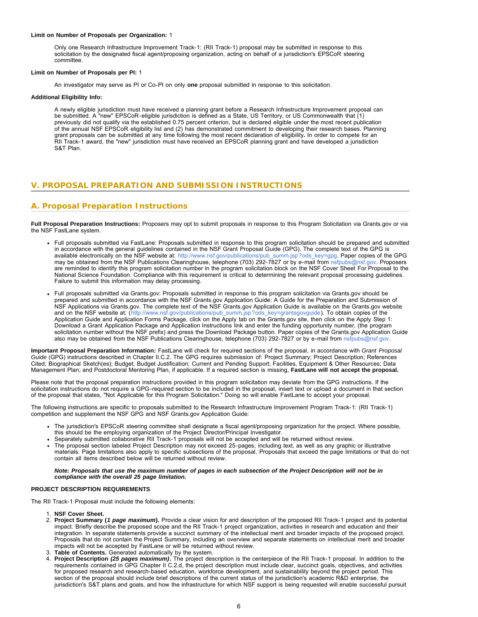#### **Limit on Number of Proposals per Organization:** 1

Only one Research Infrastructure Improvement Track-1: (RII Track-1) proposal may be submitted in response to this solicitation by the designated fiscal agent/proposing organization, acting on behalf of a jurisdiction's EPSCoR steering committee.

#### **Limit on Number of Proposals per PI:** 1

An investigator may serve as PI or Co-PI on only **one** proposal submitted in response to this solicitation.

#### **Additional Eligibility Info:**

A newly eligible jurisdiction must have received a planning grant before a Research Infrastructure Improvement proposal can be submitted. A "new" EPSCoR-eligible jurisdiction is defined as a State, US Territory, or US Commonwealth that (1) previously did not qualify via the established 0.75 percent criterion, but is declared eligible under the most recent publication of the annual NSF EPSCoR eligibility list and (2) has demonstrated commitment to developing their research bases. Planning grant proposals can be submitted at any time following the most recent declaration of eligibility*.* In order to compete for an RII Track-1 award, the "new" jurisdiction must have received an EPSCoR planning grant and have developed a jurisdiction S&T Plan.

# <span id="page-5-0"></span>**V. PROPOSAL PREPARATION AND SUBMISSION INSTRUCTIONS**

# **A. Proposal Preparation Instructions**

**Full Proposal Preparation Instructions:** Proposers may opt to submit proposals in response to this Program Solicitation via Grants.gov or via the NSF FastLane system.

- Full proposals submitted via FastLane: Proposals submitted in response to this program solicitation should be prepared and submitted in accordance with the general guidelines contained in the NSF Grant Proposal Guide (GPG). The complete text of the GPG is available electronically on the NSF website at: [http://www.nsf.gov/publications/pub\\_summ.jsp?ods\\_key=gpg](http://www.nsf.gov/publications/pub_summ.jsp?ods_key=gpg). Paper copies of the GPG may be obtained from the NSF Publications Clearinghouse, telephone (703) 292-7827 or by e-mail from [nsfpubs@nsf.gov.](mailto:nsfpubs@nsf.gov) Proposers are reminded to identify this program solicitation number in the program solicitation block on the NSF Cover Sheet For Proposal to the National Science Foundation. Compliance with this requirement is critical to determining the relevant proposal processing guidelines. Failure to submit this information may delay processing.
- Full proposals submitted via Grants.gov: Proposals submitted in response to this program solicitation via Grants.gov should be prepared and submitted in accordance with the NSF Grants.gov Application Guide: A Guide for the Preparation and Submission of NSF Applications via Grants.gov. The complete text of the NSF Grants.gov Application Guide is available on the Grants.gov website and on the NSF website at: ([http://www.nsf.gov/publications/pub\\_summ.jsp?ods\\_key=grantsgovguide](http://www.nsf.gov/publications/pub_summ.jsp?ods_key=grantsgovguide)). To obtain copies of the Application Guide and Application Forms Package, click on the Apply tab on the Grants.gov site, then click on the Apply Step 1: Download a Grant Application Package and Application Instructions link and enter the funding opportunity number, (the program solicitation number without the NSF prefix) and press the Download Package button. Paper copies of the Grants.gov Application Guide also may be obtained from the NSF Publications Clearinghouse, telephone (703) 292-7827 or by e-mail from [nsfpubs@nsf.gov.](mailto:nsfpubs@nsf.gov)

**Important Proposal Preparation Information:** FastLane will check for required sections of the proposal, in accordance with *Grant Proposal Guide* (GPG) instructions described in Chapter II.C.2. The GPG requires submission of: Project Summary; Project Description; References Cited; Biographical Sketch(es); Budget; Budget Justification; Current and Pending Support; Facilities, Equipment & Other Resources; Data Management Plan; and Postdoctoral Mentoring Plan, if applicable. If a required section is missing, **FastLane will not accept the proposal.**

Please note that the proposal preparation instructions provided in this program solicitation may deviate from the GPG instructions. If the solicitation instructions do not require a GPG-required section to be included in the proposal, insert text or upload a document in that section of the proposal that states, "Not Applicable for this Program Solicitation." Doing so will enable FastLane to accept your proposal.

The following instructions are specific to proposals submitted to the Research Infrastructure Improvement Program Track-1: (RII Track-1) competition and supplement the NSF GPG and NSF Grants.gov Application Guide:

- The jurisdiction's EPSCoR steering committee shall designate a fiscal agent/proposing organization for the project. Where possible, this should be the employing organization of the Project Director/Principal Investigator.
- Separately submitted collaborative RII Track-1 proposals will not be accepted and will be returned without review.
- The proposal section labeled Project Description may not exceed 25-pages, including text, as well as any graphic or illustrative materials. Page limitations also apply to specific subsections of the proposal. Proposals that exceed the page limitations or that do not contain all items described below will be returned without review.

#### *Note: Proposals that use the maximum number of pages in each subsection of the Project Description will not be in compliance with the overall 25 page limitation.*

#### **PROJECT DESCRIPTION REQUIREMENTS**

The RII Track-1 Proposal must include the following elements:

- 1. **NSF Cover Sheet.**
- 2. **Project Summary (***1 page maximum***).** Provide a clear vision for and description of the proposed RII Track-1 project and its potential impact. Briefly describe the proposed scope and the RII Track-1 project organization, activities in research and education and their integration. In separate statements provide a succinct summary of the intellectual merit and broader impacts of the proposed project. Proposals that do not contain the Project Summary, including an overview and separate statements on intellectual merit and broader impacts will not be accepted by FastLane or will be returned without review.
- 3. **Table of Contents.** Generated automatically by the system.
- 4. **Project Description** *(25 pages maximum)***.** The project description is the centerpiece of the RII Track-1 proposal. In addition to the requirements contained in GPG Chapter II C.2.d, the project description must include clear, succinct goals, objectives, and activities for proposed research and research-based education, workforce development, and sustainability beyond the project period. This section of the proposal should include brief descriptions of the current status of the jurisdiction's academic R&D enterprise, the jurisdiction's S&T plans and goals, and how the infrastructure for which NSF support is being requested will enable successful pursuit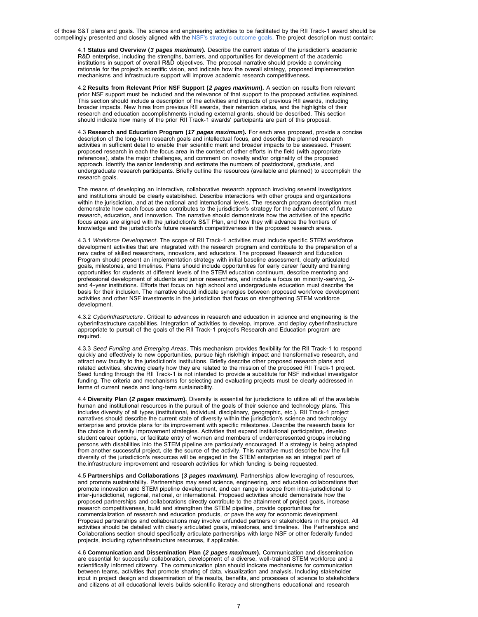of those S&T plans and goals. The science and engineering activities to be facilitated by the RII Track-1 award should be compellingly presented and closely aligned with the [NSF's strategic outcome goals.](http://www.nsf.gov/about/performance/strategic_plan.jsp) The project description must contain:

4.1 **Status and Overview (***3 pages maximum***).** Describe the current status of the jurisdiction's academic R&D enterprise, including the strengths, barriers, and opportunities for development of the academic institutions in support of overall R&D objectives. The proposal narrative should provide a convincing rationale for the project's scientific vision, and indicate how the overall strategy, proposed implementation mechanisms and infrastructure support will improve academic research competitiveness.

4.2 **Results from Relevant Prior NSF Support (***2 pages maximum***).** A section on results from relevant prior NSF support must be included and the relevance of that support to the proposed activities explained. This section should include a description of the activities and impacts of previous RII awards, including broader impacts. New hires from previous RII awards, their retention status, and the highlights of their research and education accomplishments including external grants, should be described. This section should indicate how many of the prior RII Track-1 awards' participants are part of this proposal.

4.3 **Research and Education Program (***17 pages maximum***).** For each area proposed, provide a concise description of the long-term research goals and intellectual focus, and describe the planned research activities in sufficient detail to enable their scientific merit and broader impacts to be assessed. Present proposed research in each the focus area in the context of other efforts in the field (with appropriate references), state the major challenges, and comment on novelty and/or originality of the proposed approach. Identify the senior leadership and estimate the numbers of postdoctoral, graduate, and undergraduate research participants. Briefly outline the resources (available and planned) to accomplish the research goals.

The means of developing an interactive, collaborative research approach involving several investigators and institutions should be clearly established. Describe interactions with other groups and organizations within the jurisdiction, and at the national and international levels. The research program description must demonstrate how each focus area contributes to the jurisdiction's strategy for the advancement of future research, education, and innovation. The narrative should demonstrate how the activities of the specific focus areas are aligned with the jurisdiction's S&T Plan, and how they will advance the frontiers of knowledge and the jurisdiction's future research competitiveness in the proposed research areas.

4.3.1 *Workforce Development*. The scope of RII Track-1 activities must include specific STEM workforce development activities that are integrated with the research program and contribute to the preparation of a new cadre of skilled researchers, innovators, and educators. The proposed Research and Education Program should present an implementation strategy with initial baseline assessment, clearly articulated goals, milestones, and timelines. Plans should include opportunities for early career faculty and training opportunities for students at different levels of the STEM education continuum, describe mentoring and professional development of students and junior researchers, and include a focus on minority-serving, 2 and 4-year institutions. Efforts that focus on high school and undergraduate education must describe the basis for their inclusion. The narrative should indicate synergies between proposed workforce development activities and other NSF investments in the jurisdiction that focus on strengthening STEM workforce development.

4.3.2 *Cyberinfrastructure*. Critical to advances in research and education in science and engineering is the cyberinfrastructure capabilities. Integration of activities to develop, improve, and deploy cyberinfrastructure appropriate to pursuit of the goals of the RII Track-1 project's Research and Education program are required.

4.3.3 *Seed Funding and Emerging Areas*. This mechanism provides flexibility for the RII Track-1 to respond quickly and effectively to new opportunities, pursue high risk/high impact and transformative research, and attract new faculty to the jurisdiction's institutions. Briefly describe other proposed research plans and related activities, showing clearly how they are related to the mission of the proposed RII Track-1 project. Seed funding through the RII Track-1 is not intended to provide a substitute for NSF individual investigator funding. The criteria and mechanisms for selecting and evaluating projects must be clearly addressed in terms of current needs and long-term sustainability.

4.4 **Diversity Plan (***2 pages maximum***).** Diversity is essential for jurisdictions to utilize all of the available human and institutional resources in the pursuit of the goals of their science and technology plans. This includes diversity of all types (institutional, individual, disciplinary, geographic, etc.). RII Track-1 project narratives should describe the current state of diversity within the jurisdiction's science and technology enterprise and provide plans for its improvement with specific milestones. Describe the research basis for the choice in diversity improvement strategies. Activities that expand institutional participation, develop student career options, or facilitate entry of women and members of underrepresented groups including persons with disabilities into the STEM pipeline are particularly encouraged. If a strategy is being adapted from another successful project, cite the source of the activity. This narrative must describe how the full diversity of the jurisdiction's resources will be engaged in the STEM enterprise as an integral part of the.infrastructure improvement and research activities for which funding is being requested.

4.5 **Partnerships and Collaborations (***3 pages maximum).* Partnerships allow leveraging of resources, and promote sustainability. Partnerships may seed science, engineering, and education collaborations that promote innovation and STEM pipeline development, and can range in scope from intra-jurisdictional to inter-jurisdictional, regional, national, or international. Proposed activities should demonstrate how the proposed partnerships and collaborations directly contribute to the attainment of project goals, increase research competitiveness, build and strengthen the STEM pipeline, provide opportunities for commercialization of research and education products, or pave the way for economic development. Proposed partnerships and collaborations may involve unfunded partners or stakeholders in the project. All activities should be detailed with clearly articulated goals, milestones, and timelines. The Partnerships and Collaborations section should specifically articulate partnerships with large NSF or other federally funded projects, including cyberinfrastructure resources, if applicable.

4.6 **Communication and Dissemination Plan (***2 pages maximum***).** Communication and dissemination are essential for successful collaboration, development of a diverse, well-trained STEM workforce and a scientifically informed citizenry. The communication plan should indicate mechanisms for communication between teams, activities that promote sharing of data, visualization and analysis. Including stakeholder input in project design and dissemination of the results, benefits, and processes of science to stakeholders and citizens at all educational levels builds scientific literacy and strengthens educational and research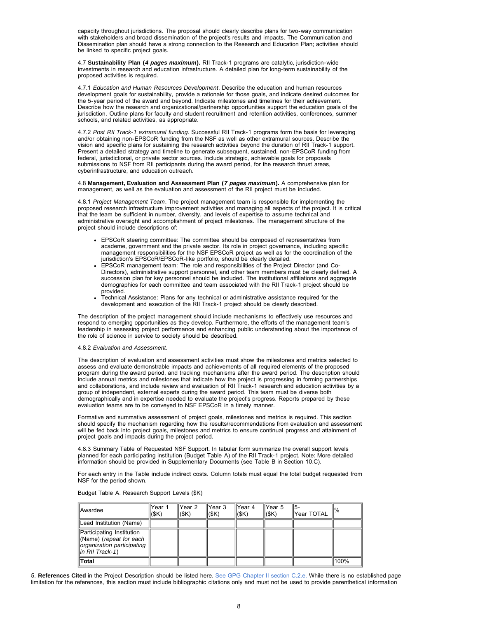capacity throughout jurisdictions. The proposal should clearly describe plans for two-way communication with stakeholders and broad dissemination of the project's results and impacts. The Communication and Dissemination plan should have a strong connection to the Research and Education Plan; activities should be linked to specific project goals.

4.7 **Sustainability Plan (***4 pages maximum***).** RII Track-1 programs are catalytic, jurisdiction-wide investments in research and education infrastructure. A detailed plan for long-term sustainability of the proposed activities is required.

4.7.1 *Education and Human Resources Development*. Describe the education and human resources development goals for sustainability, provide a rationale for those goals, and indicate desired outcomes for the 5-year period of the award and beyond. Indicate milestones and timelines for their achievement. Describe how the research and organizational/partnership opportunities support the education goals of the jurisdiction. Outline plans for faculty and student recruitment and retention activities, conferences, summer schools, and related activities, as appropriate.

4.7.2 *Post RII Track-1 extramural funding*. Successful RII Track-1 programs form the basis for leveraging and/or obtaining non-EPSCoR funding from the NSF as well as other extramural sources. Describe the vision and specific plans for sustaining the research activities beyond the duration of RII Track-1 support. Present a detailed strategy and timeline to generate subsequent, sustained, non-EPSCoR funding from federal, jurisdictional, or private sector sources. Include strategic, achievable goals for proposals submissions to NSF from RII participants during the award period, for the research thrust areas, cyberinfrastructure, and education outreach.

4.8 **Management, Evaluation and Assessment Plan (***7 pages maximum***).** A comprehensive plan for management, as well as the evaluation and assessment of the RII project must be included.

4.8.1 *Project Management Team*. The project management team is responsible for implementing the proposed research infrastructure improvement activities and managing all aspects of the project. It is critical that the team be sufficient in number, diversity, and levels of expertise to assume technical and administrative oversight and accomplishment of project milestones. The management structure of the project should include descriptions of:

- EPSCoR steering committee: The committee should be composed of representatives from academe, government and the private sector. Its role in project governance, including specific management responsibilities for the NSF EPSCoR project as well as for the coordination of the jurisdiction's EPSCoR/EPSCoR-like portfolio, should be clearly detailed.
- EPSCoR management team: The role and responsibilities of the Project Director (and Co-Directors), administrative support personnel, and other team members must be clearly defined. A succession plan for key personnel should be included. The institutional affiliations and aggregate demographics for each committee and team associated with the RII Track-1 project should be provided.
- Technical Assistance: Plans for any technical or administrative assistance required for the development and execution of the RII Track-1 project should be clearly described.

The description of the project management should include mechanisms to effectively use resources and respond to emerging opportunities as they develop. Furthermore, the efforts of the management team's leadership in assessing project performance and enhancing public understanding about the importance of the role of science in service to society should be described.

#### 4.8.2 *Evaluation and Assessment.*

The description of evaluation and assessment activities must show the milestones and metrics selected to assess and evaluate demonstrable impacts and achievements of all required elements of the proposed program during the award period, and tracking mechanisms after the award period. The description should include annual metrics and milestones that indicate how the project is progressing in forming partnerships and collaborations, and include review and evaluation of RII Track-1 research and education activities by a group of independent, external experts during the award period. This team must be diverse both demographically and in expertise needed to evaluate the project's progress. Reports prepared by these evaluation teams are to be conveyed to NSF EPSCoR in a timely manner.

Formative and summative assessment of project goals, milestones and metrics is required. This section should specify the mechanism regarding how the results/recommendations from evaluation and assessment will be fed back into project goals, milestones and metrics to ensure continual progress and attainment of project goals and impacts during the project period.

4.8.3 Summary Table of Requested NSF Support. In tabular form summarize the overall support levels planned for each participating institution (Budget Table A) of the RII Track-1 project. Note: More detailed information should be provided in Supplementary Documents (see Table B in Section 10.C).

For each entry in the Table include indirect costs. Column totals must equal the total budget requested from NSF for the period shown.

Budget Table A. Research Support Levels (\$K)

| <b>IAwardee</b>                                                                                                   | Year 1<br>(SK) | Year 2<br>l(\$K) | Year 3<br>(SK) | IYear 4<br>(SK) | Year 5<br> ( <b>SK</b> ) | 115-<br>Year TOTAL | $\mathbb{I}\%$ |
|-------------------------------------------------------------------------------------------------------------------|----------------|------------------|----------------|-----------------|--------------------------|--------------------|----------------|
| Lead Institution (Name)                                                                                           |                |                  |                |                 |                          |                    |                |
| Participating Institution<br>(Name) (repeat for each<br>organization participating<br>$\parallel$ in RII Track-1) |                |                  |                |                 |                          |                    |                |
| Total                                                                                                             |                |                  |                |                 |                          |                    | 100%           |

5. **References Cited** in the Project Description should be listed here. [See GPG Chapter II section C.2.e. W](http://www.nsf.gov/pubs/policydocs/pappguide/nsf13001/gpg_2.jsp#IIC2e)hile there is no established page limitation for the references, this section must include bibliographic citations only and must not be used to provide parenthetical information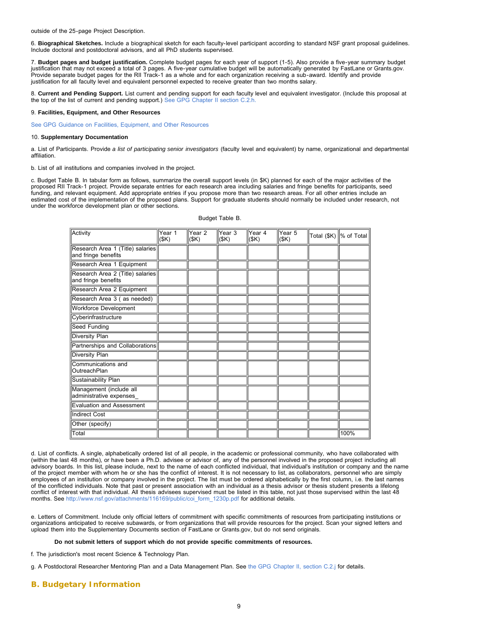outside of the 25-page Project Description.

6. **Biographical Sketches.** Include a biographical sketch for each faculty-level participant according to standard NSF grant proposal guidelines. Include doctoral and postdoctoral advisors, and all PhD students supervised.

7. **Budget pages and budget justification.** Complete budget pages for each year of support (1-5). Also provide a five-year summary budget justification that may not exceed a total of 3 pages. A five-year cumulative budget will be automatically generated by FastLane or Grants.gov. Provide separate budget pages for the RII Track-1 as a whole and for each organization receiving a sub-award. Identify and provide justification for all faculty level and equivalent personnel expected to receive greater than two months salary.

8. **Current and Pending Support.** List current and pending support for each faculty level and equivalent investigator. (Include this proposal at the top of the list of current and pending support.) [See GPG Chapter II section C.2.h.](http://www.nsf.gov/pubs/policydocs/pappguide/nsf13001/gpg_2.jsp#IIC2h)

#### 9. **Facilities, Equipment, and Other Resources**

[See GPG Guidance on Facilities, Equipment, and Other Resources](http://www.nsf.gov/pubs/policydocs/pappguide/nsf13001/gpg_2.jsp#IIC2i)

#### 10. **Supplementary Documentation**

a. List of Participants. Provide *a list of participating senior investigators* (faculty level and equivalent) by name, organizational and departmental affiliation.

b. List of all institutions and companies involved in the project.

c. Budget Table B. In tabular form as follows, summarize the overall support levels (in \$K) planned for each of the major activities of the proposed RII Track-1 project. Provide separate entries for each research area including salaries and fringe benefits for participants, seed funding, and relevant equipment. Add appropriate entries if you propose more than two research areas. For all other entries include an estimated cost of the implementation of the proposed plans. Support for graduate students should normally be included under research, not under the workforce development plan or other sections.

| Activity                                                | Year 1<br>(\$K) | Year <sub>2</sub><br>(SK) | Year 3<br>(SK) | Year 4<br>(SK) | Year 5<br>(SK) | Total (\$K)   % of Total |
|---------------------------------------------------------|-----------------|---------------------------|----------------|----------------|----------------|--------------------------|
| Research Area 1 (Title) salaries<br>and fringe benefits |                 |                           |                |                |                |                          |
| Research Area 1 Equipment                               |                 |                           |                |                |                |                          |
| Research Area 2 (Title) salaries<br>and fringe benefits |                 |                           |                |                |                |                          |
| Research Area 2 Equipment                               |                 |                           |                |                |                |                          |
| Research Area 3 (as needed)                             |                 |                           |                |                |                |                          |
| <b>Workforce Development</b>                            |                 |                           |                |                |                |                          |
| Cyberinfrastructure                                     |                 |                           |                |                |                |                          |
| Seed Funding                                            |                 |                           |                |                |                |                          |
| Diversity Plan                                          |                 |                           |                |                |                |                          |
| Partnerships and Collaborations                         |                 |                           |                |                |                |                          |
| Diversity Plan                                          |                 |                           |                |                |                |                          |
| Communications and<br>lOutreachPlan                     |                 |                           |                |                |                |                          |
| Sustainability Plan                                     |                 |                           |                |                |                |                          |
| Management (include all<br>administrative expenses      |                 |                           |                |                |                |                          |
| Evaluation and Assessment                               |                 |                           |                |                |                |                          |
| Indirect Cost                                           |                 |                           |                |                |                |                          |
| Other (specify)                                         |                 |                           |                |                |                |                          |
| Total                                                   |                 |                           |                |                |                | 100%                     |

#### Budget Table B.

d. List of conflicts. A single, alphabetically ordered list of all people, in the academic or professional community, who have collaborated with (within the last 48 months), or have been a Ph.D. advisee or advisor of, any of the personnel involved in the proposed project including all advisory boards. In this list, please include, next to the name of each conflicted individual, that individual's institution or company and the name of the project member with whom he or she has the conflict of interest. It is not necessary to list, as collaborators, personnel who are simply employees of an institution or company involved in the project. The list must be ordered alphabetically by the first column, i.e. the last names of the conflicted individuals. Note that past or present association with an individual as a thesis advisor or thesis student presents a lifelong conflict of interest with that individual. All thesis advisees supervised must be listed in this table, not just those supervised within the last 48 months. See [http://www.nsf.gov/attachments/116169/public/coi\\_form\\_1230p.pdf](http://www.nsf.gov/attachments/116169/public/coi_form_1230p.pdf) for additional details.

e. Letters of Commitment. Include only official letters of commitment with specific commitments of resources from participating institutions or organizations anticipated to receive subawards, or from organizations that will provide resources for the project. Scan your signed letters and upload them into the Supplementary Documents section of FastLane or Grants.gov, but do not send originals.

### **Do not submit letters of support which do not provide specific commitments of resources.**

f. The jurisdiction's most recent Science & Technology Plan.

g. A Postdoctoral Researcher Mentoring Plan and a Data Management Plan. See [the GPG Chapter II, section C.2.j](http://www.nsf.gov/pubs/policydocs/pappguide/nsf13001/gpg_2.jsp#IIC2j) for details.

# <span id="page-8-0"></span>**B. Budgetary Information**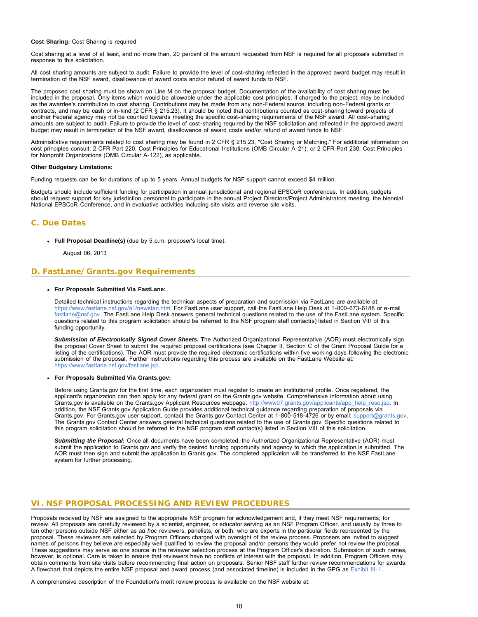#### <span id="page-9-0"></span>**Cost Sharing:** Cost Sharing is required

Cost sharing at a level of at least, and no more than, 20 percent of the amount requested from NSF is required for all proposals submitted in response to this solicitation.

All cost sharing amounts are subject to audit. Failure to provide the level of cost-sharing reflected in the approved award budget may result in termination of the NSF award, disallowance of award costs and/or refund of award funds to NSF.

The proposed cost sharing must be shown on Line M on the proposal budget. Documentation of the availability of cost sharing must be included in the proposal. Only items which would be allowable under the applicable cost principles, if charged to the project, may be included as the awardee's contribution to cost sharing. Contributions may be made from any non-Federal source, including non-Federal grants or contracts, and may be cash or in-kind (2 CFR § 215.23). It should be noted that contributions counted as cost-sharing toward projects of another Federal agency may not be counted towards meeting the specific cost-sharing requirements of the NSF award. All cost-sharing amounts are subject to audit. Failure to provide the level of cost-sharing required by the NSF solicitation and reflected in the approved award budget may result in termination of the NSF award, disallowance of award costs and/or refund of award funds to NSF.

Administrative requirements related to cost sharing may be found in 2 CFR § 215.23, "Cost Sharing or Matching." For additional information on cost principles consult: 2 CFR Part 220, Cost Principles for Educational Institutions (OMB Circular A-21); or 2 CFR Part 230, Cost Principles for Nonprofit Organizations (OMB Circular A-122), as applicable.

#### **Other Budgetary Limitations:**

Funding requests can be for durations of up to 5 years. Annual budgets for NSF support cannot exceed \$4 million.

Budgets should include sufficient funding for participation in annual jurisdictional and regional EPSCoR conferences. In addition, budgets should request support for key jurisdiction personnel to participate in the annual Project Directors/Project Administrators meeting, the biennial National EPSCoR Conference, and in evaluative activities including site visits and reverse site visits.

# **C. Due Dates**

**Full Proposal Deadline(s)** (due by 5 p.m. proposer's local time):

August 06, 2013

### <span id="page-9-1"></span>**D. FastLane/Grants.gov Requirements**

#### **For Proposals Submitted Via FastLane:**

Detailed technical instructions regarding the technical aspects of preparation and submission via FastLane are available at: [https://www.fastlane.nsf.gov/a1/newstan.htm.](https://www.fastlane.nsf.gov/a1/newstan.htm) For FastLane user support, call the FastLane Help Desk at 1-800-673-6188 or e-mail [fastlane@nsf.gov.](mailto:fastlane@nsf.gov) The FastLane Help Desk answers general technical questions related to the use of the FastLane system. Specific questions related to this program solicitation should be referred to the NSF program staff contact(s) listed in Section VIII of this funding opportunity.

*Submission of Electronically Signed Cover Sheets.* The Authorized Organizational Representative (AOR) must electronically sign the proposal Cover Sheet to submit the required proposal certifications (see Chapter II, Section C of the Grant Proposal Guide for a listing of the certifications). The AOR must provide the required electronic certifications within five working days following the electronic submission of the proposal. Further instructions regarding this process are available on the FastLane Website at: [https://www.fastlane.nsf.gov/fastlane.jsp.](https://www.fastlane.nsf.gov/fastlane.jsp)

#### **For Proposals Submitted Via Grants.gov:**

Before using Grants.gov for the first time, each organization must register to create an institutional profile. Once registered, the applicant's organization can then apply for any federal grant on the Grants.gov website. Comprehensive information about using Grants.gov is available on the Grants.gov Applicant Resources webpage: [http://www07.grants.gov/applicants/app\\_help\\_reso.jsp.](http://www07.grants.gov/applicants/app_help_reso.jsp) In addition, the NSF Grants.gov Application Guide provides additional technical guidance regarding preparation of proposals via Grants.gov. For Grants.gov user support, contact the Grants.gov Contact Center at 1-800-518-4726 or by email: [support@grants.gov](mailto:support@grants.gov). The Grants.gov Contact Center answers general technical questions related to the use of Grants.gov. Specific questions related to this program solicitation should be referred to the NSF program staff contact(s) listed in Section VIII of this solicitation.

*Submitting the Proposal:* Once all documents have been completed, the Authorized Organizational Representative (AOR) must submit the application to Grants.gov and verify the desired funding opportunity and agency to which the application is submitted. The AOR must then sign and submit the application to Grants.gov. The completed application will be transferred to the NSF FastLane system for further processing.

### <span id="page-9-2"></span>**VI. NSF PROPOSAL PROCESSING AND REVIEW PROCEDURES**

Proposals received by NSF are assigned to the appropriate NSF program for acknowledgement and, if they meet NSF requirements, for review. All proposals are carefully reviewed by a scientist, engineer, or educator serving as an NSF Program Officer, and usually by three to ten other persons outside NSF either as *ad hoc* reviewers, panelists, or both, who are experts in the particular fields represented by the proposal. These reviewers are selected by Program Officers charged with oversight of the review process. Proposers are invited to suggest names of persons they believe are especially well qualified to review the proposal and/or persons they would prefer not review the proposal. These suggestions may serve as one source in the reviewer selection process at the Program Officer's discretion. Submission of such names, however, is optional. Care is taken to ensure that reviewers have no conflicts of interest with the proposal. In addition, Program Officers may obtain comments from site visits before recommending final action on proposals. Senior NSF staff further review recommendations for awards. A flowchart that depicts the entire NSF proposal and award process (and associated timeline) is included in the GPG as [Exhibit III-1](http://www.nsf.gov/pubs/policydocs/pappguide/nsf13001/gpg_3ex1.pdf).

A comprehensive description of the Foundation's merit review process is available on the NSF website at: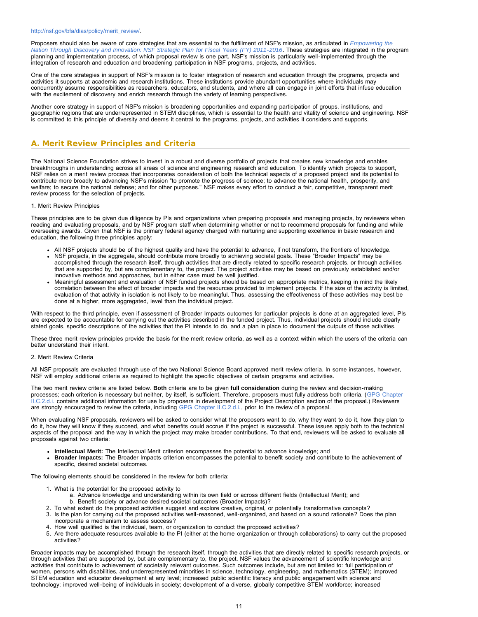Proposers should also be aware of core strategies that are essential to the fulfillment of NSF's mission, as articulated in *[Empowering the](http://www.nsf.gov/news/strategicplan/nsfstrategicplan_2011_2016.pdf) [Nation Through Discovery and Innovation: NSF Strategic Plan for Fiscal Years \(FY\) 2011-2016](http://www.nsf.gov/news/strategicplan/nsfstrategicplan_2011_2016.pdf)*. These strategies are integrated in the program planning and implementation process, of which proposal review is one part. NSF's mission is particularly well-implemented through the integration of research and education and broadening participation in NSF programs, projects, and activities.

One of the core strategies in support of NSF's mission is to foster integration of research and education through the programs, projects and activities it supports at academic and research institutions. These institutions provide abundant opportunities where individuals may concurrently assume responsibilities as researchers, educators, and students, and where all can engage in joint efforts that infuse education with the excitement of discovery and enrich research through the variety of learning perspectives.

Another core strategy in support of NSF's mission is broadening opportunities and expanding participation of groups, institutions, and geographic regions that are underrepresented in STEM disciplines, which is essential to the health and vitality of science and engineering. NSF is committed to this principle of diversity and deems it central to the programs, projects, and activities it considers and supports.

# <span id="page-10-0"></span>**A. Merit Review Principles and Criteria**

The National Science Foundation strives to invest in a robust and diverse portfolio of projects that creates new knowledge and enables breakthroughs in understanding across all areas of science and engineering research and education. To identify which projects to support, NSF relies on a merit review process that incorporates consideration of both the technical aspects of a proposed project and its potential to contribute more broadly to advancing NSF's mission "to promote the progress of science; to advance the national health, prosperity, and welfare; to secure the national defense; and for other purposes." NSF makes every effort to conduct a fair, competitive, transparent merit review process for the selection of projects.

#### 1. Merit Review Principles

These principles are to be given due diligence by PIs and organizations when preparing proposals and managing projects, by reviewers when reading and evaluating proposals, and by NSF program staff when determining whether or not to recommend proposals for funding and while overseeing awards. Given that NSF is the primary federal agency charged with nurturing and supporting excellence in basic research and education, the following three principles apply:

- All NSF projects should be of the highest quality and have the potential to advance, if not transform, the frontiers of knowledge. NSF projects, in the aggregate, should contribute more broadly to achieving societal goals. These "Broader Impacts" may be accomplished through the research itself, through activities that are directly related to specific research projects, or through activities that are supported by, but are complementary to, the project. The project activities may be based on previously established and/or innovative methods and approaches, but in either case must be well justified.
- Meaningful assessment and evaluation of NSF funded projects should be based on appropriate metrics, keeping in mind the likely correlation between the effect of broader impacts and the resources provided to implement projects. If the size of the activity is limited, evaluation of that activity in isolation is not likely to be meaningful. Thus, assessing the effectiveness of these activities may best be done at a higher, more aggregated, level than the individual project.

With respect to the third principle, even if assessment of Broader Impacts outcomes for particular projects is done at an aggregated level, PIs are expected to be accountable for carrying out the activities described in the funded project. Thus, individual projects should include clearly stated goals, specific descriptions of the activities that the PI intends to do, and a plan in place to document the outputs of those activities.

These three merit review principles provide the basis for the merit review criteria, as well as a context within which the users of the criteria can better understand their intent.

#### 2. Merit Review Criteria

All NSF proposals are evaluated through use of the two National Science Board approved merit review criteria. In some instances, however, NSF will employ additional criteria as required to highlight the specific objectives of certain programs and activities.

The two merit review criteria are listed below. **Both** criteria are to be given **full consideration** during the review and decision-making processes; each criterion is necessary but neither, by itself, is sufficient. Therefore, proposers must fully address both criteria. ([GPG Chapter](http://www.nsf.gov/pubs/policydocs/pappguide/nsf13001/gpg_2.jsp#IIC2di) [II.C.2.d.i.](http://www.nsf.gov/pubs/policydocs/pappguide/nsf13001/gpg_2.jsp#IIC2di) contains additional information for use by proposers in development of the Project Description section of the proposal.) Reviewers are strongly encouraged to review the criteria, including [GPG Chapter II.C.2.d.i.,](http://www.nsf.gov/pubs/policydocs/pappguide/nsf13001/gpg_2.jsp#IIC2di) prior to the review of a proposal.

When evaluating NSF proposals, reviewers will be asked to consider what the proposers want to do, why they want to do it, how they plan to do it, how they will know if they succeed, and what benefits could accrue if the project is successful. These issues apply both to the technical aspects of the proposal and the way in which the project may make broader contributions. To that end, reviewers will be asked to evaluate all proposals against two criteria:

- **Intellectual Merit:** The Intellectual Merit criterion encompasses the potential to advance knowledge; and
- **Broader Impacts:** The Broader Impacts criterion encompasses the potential to benefit society and contribute to the achievement of specific, desired societal outcomes.

The following elements should be considered in the review for both criteria:

- 1. What is the potential for the proposed activity to
	- a. Advance knowledge and understanding within its own field or across different fields (Intellectual Merit); and b. Benefit society or advance desired societal outcomes (Broader Impacts)?
- 2. To what extent do the proposed activities suggest and explore creative, original, or potentially transformative concepts?
- 3. Is the plan for carrying out the proposed activities well-reasoned, well-organized, and based on a sound rationale? Does the plan incorporate a mechanism to assess success?
- 4. How well qualified is the individual, team, or organization to conduct the proposed activities?
- 5. Are there adequate resources available to the PI (either at the home organization or through collaborations) to carry out the proposed activities?

Broader impacts may be accomplished through the research itself, through the activities that are directly related to specific research projects, or through activities that are supported by, but are complementary to, the project. NSF values the advancement of scientific knowledge and activities that contribute to achievement of societally relevant outcomes. Such outcomes include, but are not limited to: full participation of women, persons with disabilities, and underrepresented minorities in science, technology, engineering, and mathematics (STEM); improved STEM education and educator development at any level; increased public scientific literacy and public engagement with science and technology; improved well-being of individuals in society; development of a diverse, globally competitive STEM workforce; increased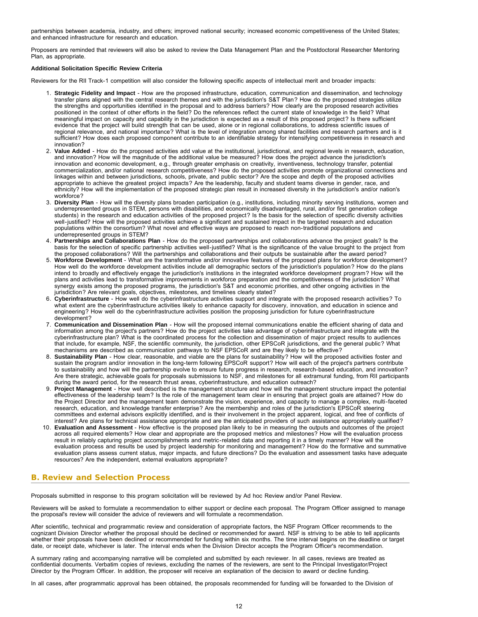partnerships between academia, industry, and others; improved national security; increased economic competitiveness of the United States; and enhanced infrastructure for research and education.

Proposers are reminded that reviewers will also be asked to review the Data Management Plan and the Postdoctoral Researcher Mentoring Plan, as appropriate.

### **Additional Solicitation Specific Review Criteria**

Reviewers for the RII Track-1 competition will also consider the following specific aspects of intellectual merit and broader impacts:

- 1. **Strategic Fidelity and Impact** How are the proposed infrastructure, education, communication and dissemination, and technology transfer plans aligned with the central research themes and with the jurisdiction's S&T Plan? How do the proposed strategies utilize the strengths and opportunities identified in the proposal and to address barriers? How clearly are the proposed research activities positioned in the context of other efforts in the field? Do the references reflect the current state of knowledge in the field? What meaningful impact on capacity and capability in the jurisdiction is expected as a result of this proposed project? Is there sufficient evidence that the project will build strength that can be used, alone or in regional collaborations, to address scientific issues of regional relevance, and national importance? What is the level of integration among shared facilities and research partners and is it sufficient? How does each proposed component contribute to an identifiable strategy for intensifying competitiveness in research and innovation?
- 2. **Value Added** How do the proposed activities add value at the institutional, jurisdictional, and regional levels in research, education, and innovation? How will the magnitude of the additional value be measured? How does the project advance the jurisdiction's innovation and economic development, e.g., through greater emphasis on creativity, inventiveness, technology transfer, potential commercialization, and/or national research competitiveness? How do the proposed activities promote organizational connections and linkages within and between jurisdictions, schools, private, and public sector? Are the scope and depth of the proposed activities appropriate to achieve the greatest project impacts? Are the leadership, faculty and student teams diverse in gender, race, and ethnicity? How will the implementation of the proposed strategic plan result in increased diversity in the jurisdiction's and/or nation's workforce?
- 3. **Diversity Plan** How will the diversity plans broaden participation (e.g., institutions, including minority serving institutions, women and underrepresented groups in STEM, persons with disabilities, and economically disadvantaged, rural, and/or first generation college students) in the research and education activities of the proposed project? Is the basis for the selection of specific diversity activities well-justified? How will the proposed activities achieve a significant and sustained impact in the targeted research and education populations within the consortium? What novel and effective ways are proposed to reach non-traditional populations and underrepresented groups in STEM?
- 4. **Partnerships and Collaborations Plan** How do the proposed partnerships and collaborations advance the project goals? Is the basis for the selection of specific partnership activities well-justified? What is the significance of the value brought to the project from the proposed collaborations? Will the partnerships and collaborations and their outputs be sustainable after the award period?
- 5. **Workforce Development** What are the transformative and/or innovative features of the proposed plans for workforce development? How well do the workforce development activities include all demographic sectors of the jurisdiction's population? How do the plans intend to broadly and effectively engage the jurisdiction's institutions in the integrated workforce development program? How will the plans and activities lead to transformative improvements in workforce preparation and the competitiveness of the jurisdiction? What synergy exists among the proposed programs, the jurisdiction's S&T and economic priorities, and other ongoing activities in the jurisdiction? Are relevant goals, objectives, milestones, and timelines clearly stated?
- 6. **Cyberinfrastructure** How well do the cyberinfrastructure activities support and integrate with the proposed research activities? To what extent are the cyberinfrastructure activities likely to enhance capacity for discovery, innovation, and education in science and engineering? How well do the cyberinfrastructure activities position the proposing jurisdiction for future cyberinfrastructure development?
- 7. **Communication and Dissemination Plan** How will the proposed internal communications enable the efficient sharing of data and information among the project's partners? How do the project activities take advantage of cyberinfrastructure and integrate with the cyberinfrastructure plan? What is the coordinated process for the collection and dissemination of major project results to audiences that include, for example, NSF, the scientific community, the jurisdiction, other EPSCoR jurisdictions, and the general public? What mechanisms are described as communication pathways to NSF EPSCoR and are they likely to be effective?
- 8. **Sustainability Plan** How clear, reasonable, and viable are the plans for sustainability? How will the proposed activities foster and sustain the program and/or innovation in the long-term following EPSCoR support? How will each of the project's partners contribute to sustainability and how will the partnership evolve to ensure future progress in research, research-based education, and innovation? Are there strategic, achievable goals for proposals submissions to NSF, and milestones for all extramural funding, from RII participants during the award period, for the research thrust areas, cyberinfrastructure, and education outreach?
- 9. **Project Management** How well described is the management structure and how will the management structure impact the potential effectiveness of the leadership team? Is the role of the management team clear in ensuring that project goals are attained? How do the Project Director and the management team demonstrate the vision, experience, and capacity to manage a complex, multi-faceted research, education, and knowledge transfer enterprise? Are the membership and roles of the jurisdiction's EPSCoR steering committees and external advisors explicitly identified, and is their involvement in the project apparent, logical, and free of conflicts of interest? Are plans for technical assistance appropriate and are the anticipated providers of such assistance appropriately qualified?
- 10. **Evaluation and Assessment**  How effective is the proposed plan likely to be in measuring the outputs and outcomes of the project across all required elements? How clear and appropriate are the proposed metrics and milestones? How will the evaluation process result in reliably capturing project accomplishments and metric-related data and reporting it in a timely manner? How will the evaluation process and results be used by project leadership for monitoring and management? How do the formative and summative evaluation plans assess current status, major impacts, and future directions? Do the evaluation and assessment tasks have adequate resources? Are the independent, external evaluators appropriate?

# <span id="page-11-0"></span>**B. Review and Selection Process**

Proposals submitted in response to this program solicitation will be reviewed by Ad hoc Review and/or Panel Review.

Reviewers will be asked to formulate a recommendation to either support or decline each proposal. The Program Officer assigned to manage the proposal's review will consider the advice of reviewers and will formulate a recommendation.

After scientific, technical and programmatic review and consideration of appropriate factors, the NSF Program Officer recommends to the cognizant Division Director whether the proposal should be declined or recommended for award. NSF is striving to be able to tell applicants whether their proposals have been declined or recommended for funding within six months. The time interval begins on the deadline or target date, or receipt date, whichever is later. The interval ends when the Division Director accepts the Program Officer's recommendation.

A summary rating and accompanying narrative will be completed and submitted by each reviewer. In all cases, reviews are treated as confidential documents. Verbatim copies of reviews, excluding the names of the reviewers, are sent to the Principal Investigator/Project Director by the Program Officer. In addition, the proposer will receive an explanation of the decision to award or decline funding.

In all cases, after programmatic approval has been obtained, the proposals recommended for funding will be forwarded to the Division of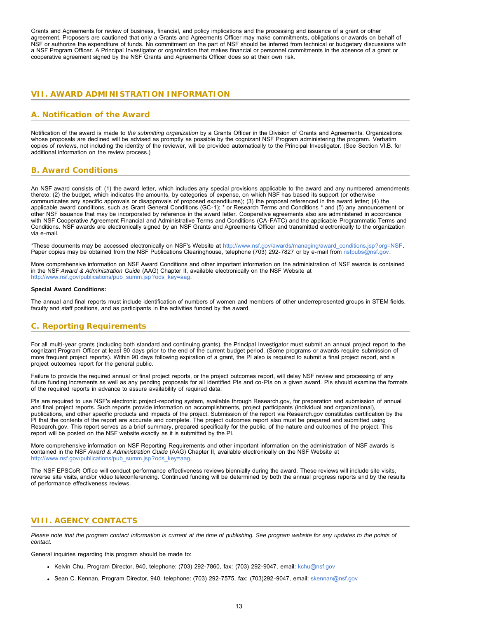Grants and Agreements for review of business, financial, and policy implications and the processing and issuance of a grant or other agreement. Proposers are cautioned that only a Grants and Agreements Officer may make commitments, obligations or awards on behalf of NSF or authorize the expenditure of funds. No commitment on the part of NSF should be inferred from technical or budgetary discussions with a NSF Program Officer. A Principal Investigator or organization that makes financial or personnel commitments in the absence of a grant or cooperative agreement signed by the NSF Grants and Agreements Officer does so at their own risk.

# <span id="page-12-0"></span>**VII. AWARD ADMINISTRATION INFORMATION**

# <span id="page-12-1"></span>**A. Notification of the Award**

Notification of the award is made to *the submitting organization* by a Grants Officer in the Division of Grants and Agreements. Organizations whose proposals are declined will be advised as promptly as possible by the cognizant NSF Program administering the program. Verbatim copies of reviews, not including the identity of the reviewer, will be provided automatically to the Principal Investigator. (See Section VI.B. for additional information on the review process.)

### <span id="page-12-2"></span>**B. Award Conditions**

An NSF award consists of: (1) the award letter, which includes any special provisions applicable to the award and any numbered amendments thereto; (2) the budget, which indicates the amounts, by categories of expense, on which NSF has based its support (or otherwise communicates any specific approvals or disapprovals of proposed expenditures); (3) the proposal referenced in the award letter; (4) the applicable award conditions, such as Grant General Conditions (GC-1); \* or Research Terms and Conditions \* and (5) any announcement or other NSF issuance that may be incorporated by reference in the award letter. Cooperative agreements also are administered in accordance with NSF Cooperative Agreement Financial and Administrative Terms and Conditions (CA-FATC) and the applicable Programmatic Terms and Conditions. NSF awards are electronically signed by an NSF Grants and Agreements Officer and transmitted electronically to the organization via e-mail.

\*These documents may be accessed electronically on NSF's Website at [http://www.nsf.gov/awards/managing/award\\_conditions.jsp?org=NSF](http://www.nsf.gov/awards/managing/award_conditions.jsp?org=NSF). Paper copies may be obtained from the NSF Publications Clearinghouse, telephone (703) 292-7827 or by e-mail from [nsfpubs@nsf.gov.](mailto:nsfpubs@nsf.gov)

More comprehensive information on NSF Award Conditions and other important information on the administration of NSF awards is contained in the NSF *Award & Administration Guide* (AAG) Chapter II, available electronically on the NSF Website at [http://www.nsf.gov/publications/pub\\_summ.jsp?ods\\_key=aag.](http://www.nsf.gov/publications/pub_summ.jsp?ods_key=aag)

#### **Special Award Conditions:**

The annual and final reports must include identification of numbers of women and members of other underrepresented groups in STEM fields, faculty and staff positions, and as participants in the activities funded by the award.

# <span id="page-12-3"></span>**C. Reporting Requirements**

For all multi-year grants (including both standard and continuing grants), the Principal Investigator must submit an annual project report to the cognizant Program Officer at least 90 days prior to the end of the current budget period. (Some programs or awards require submission of more frequent project reports). Within 90 days following expiration of a grant, the PI also is required to submit a final project report, and a project outcomes report for the general public.

Failure to provide the required annual or final project reports, or the project outcomes report, will delay NSF review and processing of any future funding increments as well as any pending proposals for all identified PIs and co-PIs on a given award. PIs should examine the formats of the required reports in advance to assure availability of required data.

PIs are required to use NSF's electronic project-reporting system, available through Research.gov, for preparation and submission of annual and final project reports. Such reports provide information on accomplishments, project participants (individual and organizational), publications, and other specific products and impacts of the project. Submission of the report via Research.gov constitutes certification by the PI that the contents of the report are accurate and complete. The project outcomes report also must be prepared and submitted using Research.gov. This report serves as a brief summary, prepared specifically for the public, of the nature and outcomes of the project. This report will be posted on the NSF website exactly as it is submitted by the PI.

More comprehensive information on NSF Reporting Requirements and other important information on the administration of NSF awards is contained in the NSF *Award & Administration Guide* (AAG) Chapter II, available electronically on the NSF Website at [http://www.nsf.gov/publications/pub\\_summ.jsp?ods\\_key=aag.](http://www.nsf.gov/publications/pub_summ.jsp?ods_key=aag)

The NSF EPSCoR Office will conduct performance effectiveness reviews biennially during the award. These reviews will include site visits, reverse site visits, and/or video teleconferencing. Continued funding will be determined by both the annual progress reports and by the results of performance effectiveness reviews.

### <span id="page-12-4"></span>**VIII. AGENCY CONTACTS**

*Please note that the program contact information is current at the time of publishing. See program website for any updates to the points of contact.*

General inquiries regarding this program should be made to:

- Kelvin Chu, Program Director, 940, telephone: (703) 292-7860, fax: (703) 292-9047, email: [kchu@nsf.gov](mailto:kchu@nsf.gov)
- Sean C. Kennan, Program Director, 940, telephone: (703) 292-7575, fax: (703)292-9047, email: [skennan@nsf.gov](mailto:skennan@nsf.gov)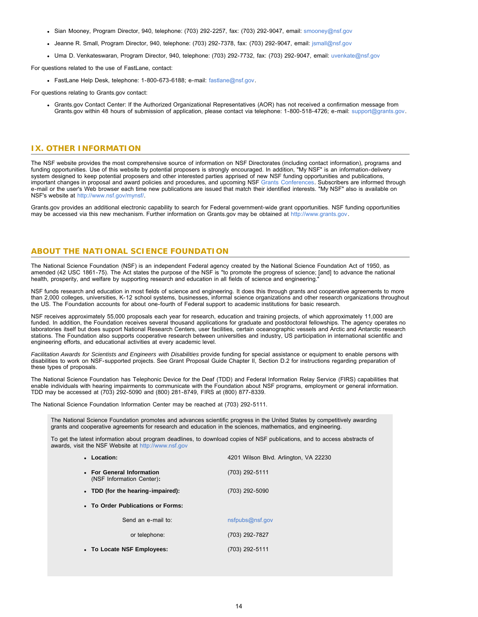- Sian Mooney, Program Director, 940, telephone: (703) 292-2257, fax: (703) 292-9047, email: [smooney@nsf.gov](mailto:smooney@nsf.gov)
- Jeanne R. Small, Program Director, 940, telephone: (703) 292-7378, fax: (703) 292-9047, email: [jsmall@nsf.gov](mailto:jsmall@nsf.gov)
- Uma D. Venkateswaran, Program Director, 940, telephone: (703) 292-7732, fax: (703) 292-9047, email: [uvenkate@nsf.gov](mailto:uvenkate@nsf.gov)

For questions related to the use of FastLane, contact:

FastLane Help Desk, telephone: 1-800-673-6188; e-mail: [fastlane@nsf.gov.](mailto:fastlane@nsf.gov)

For questions relating to Grants.gov contact:

Grants.gov Contact Center: If the Authorized Organizational Representatives (AOR) has not received a confirmation message from Grants.gov within 48 hours of submission of application, please contact via telephone: 1-800-518-4726; e-mail: [support@grants.gov](mailto:support@grants.gov).

### <span id="page-13-0"></span>**IX. OTHER INFORMATION**

The NSF website provides the most comprehensive source of information on NSF Directorates (including contact information), programs and funding opportunities. Use of this website by potential proposers is strongly encouraged. In addition, "My NSF" is an information-delivery system designed to keep potential proposers and other interested parties apprised of new NSF funding opportunities and publications, important changes in proposal and award policies and procedures, and upcoming NSF [Grants Conferences.](http://www.nsf.gov/bfa/dias/policy/outreach.jsp) Subscribers are informed through e-mail or the user's Web browser each time new publications are issued that match their identified interests. "My NSF" also is available on NSF's website at [http://www.nsf.gov/mynsf/.](http://www.nsf.gov/mynsf/)

Grants.gov provides an additional electronic capability to search for Federal government-wide grant opportunities. NSF funding opportunities may be accessed via this new mechanism. Further information on Grants.gov may be obtained at [http://www.grants.gov.](http://www.grants.gov/)

### **ABOUT THE NATIONAL SCIENCE FOUNDATION**

The National Science Foundation (NSF) is an independent Federal agency created by the National Science Foundation Act of 1950, as amended (42 USC 1861-75). The Act states the purpose of the NSF is "to promote the progress of science; [and] to advance the national health, prosperity, and welfare by supporting research and education in all fields of science and engineering.

NSF funds research and education in most fields of science and engineering. It does this through grants and cooperative agreements to more than 2,000 colleges, universities, K-12 school systems, businesses, informal science organizations and other research organizations throughout the US. The Foundation accounts for about one-fourth of Federal support to academic institutions for basic research.

NSF receives approximately 55,000 proposals each year for research, education and training projects, of which approximately 11,000 are funded. In addition, the Foundation receives several thousand applications for graduate and postdoctoral fellowships. The agency operates no laboratories itself but does support National Research Centers, user facilities, certain oceanographic vessels and Arctic and Antarctic research stations. The Foundation also supports cooperative research between universities and industry, US participation in international scientific and engineering efforts, and educational activities at every academic level.

*Facilitation Awards for Scientists and Engineers with Disabilities* provide funding for special assistance or equipment to enable persons with disabilities to work on NSF-supported projects. See Grant Proposal Guide Chapter II, Section D.2 for instructions regarding preparation of these types of proposals.

The National Science Foundation has Telephonic Device for the Deaf (TDD) and Federal Information Relay Service (FIRS) capabilities that enable individuals with hearing impairments to communicate with the Foundation about NSF programs, employment or general information. TDD may be accessed at (703) 292-5090 and (800) 281-8749, FIRS at (800) 877-8339.

The National Science Foundation Information Center may be reached at (703) 292-5111.

The National Science Foundation promotes and advances scientific progress in the United States by competitively awarding grants and cooperative agreements for research and education in the sciences, mathematics, and engineering.

To get the latest information about program deadlines, to download copies of NSF publications, and to access abstracts of awards, visit the NSF Website at [http://www.nsf.gov](http://www.nsf.gov/)

| • Location:                                            | 4201 Wilson Blvd. Arlington, VA 22230 |
|--------------------------------------------------------|---------------------------------------|
| • For General Information<br>(NSF Information Center): | (703) 292-5111                        |
| • TDD (for the hearing-impaired):                      | (703) 292-5090                        |
| • To Order Publications or Forms:                      |                                       |
| Send an e-mail to:                                     | nsfpubs@nsf.gov                       |
| or telephone:                                          | (703) 292-7827                        |
| • To Locate NSF Employees:                             | (703) 292-5111                        |